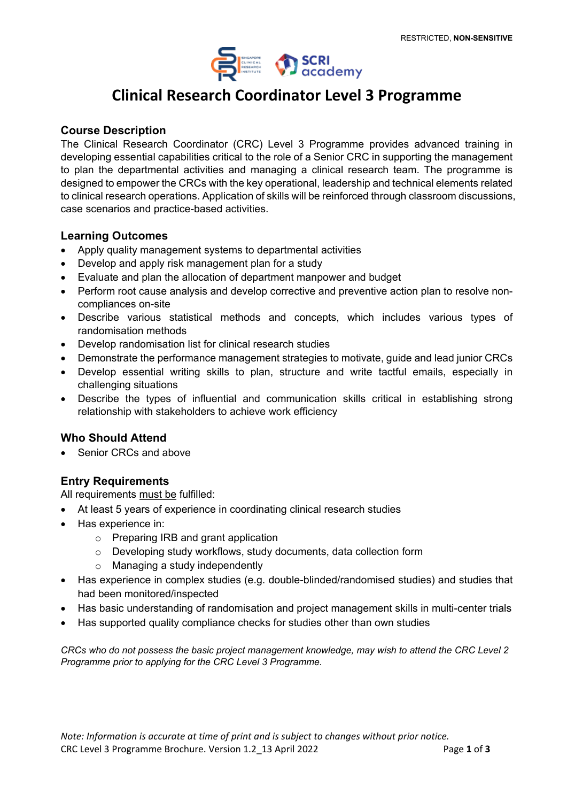

# **Clinical Research Coordinator Level 3 Programme**

#### **Course Description**

The Clinical Research Coordinator (CRC) Level 3 Programme provides advanced training in developing essential capabilities critical to the role of a Senior CRC in supporting the management to plan the departmental activities and managing a clinical research team. The programme is designed to empower the CRCs with the key operational, leadership and technical elements related to clinical research operations. Application of skills will be reinforced through classroom discussions, case scenarios and practice-based activities.

#### **Learning Outcomes**

- Apply quality management systems to departmental activities
- Develop and apply risk management plan for a study
- Evaluate and plan the allocation of department manpower and budget
- Perform root cause analysis and develop corrective and preventive action plan to resolve noncompliances on-site
- Describe various statistical methods and concepts, which includes various types of randomisation methods
- Develop randomisation list for clinical research studies
- Demonstrate the performance management strategies to motivate, guide and lead junior CRCs
- Develop essential writing skills to plan, structure and write tactful emails, especially in challenging situations
- Describe the types of influential and communication skills critical in establishing strong relationship with stakeholders to achieve work efficiency

## **Who Should Attend**

Senior CRCs and above

## **Entry Requirements**

All requirements must be fulfilled:

- At least 5 years of experience in coordinating clinical research studies
- Has experience in:
	- o Preparing IRB and grant application
	- o Developing study workflows, study documents, data collection form
	- o Managing a study independently
- Has experience in complex studies (e.g. double-blinded/randomised studies) and studies that had been monitored/inspected
- Has basic understanding of randomisation and project management skills in multi-center trials
- Has supported quality compliance checks for studies other than own studies

*CRCs who do not possess the basic project management knowledge, may wish to attend the CRC Level 2 Programme prior to applying for the CRC Level 3 Programme.*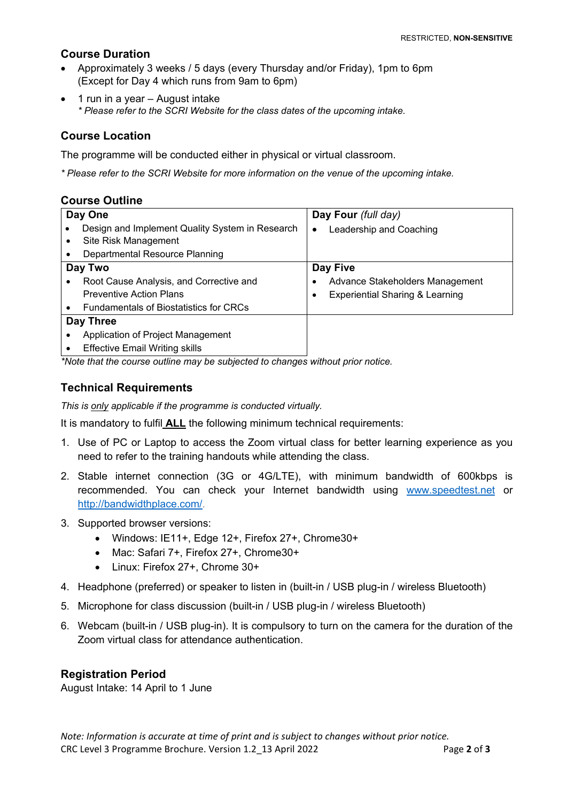## **Course Duration**

- Approximately 3 weeks / 5 days (every Thursday and/or Friday), 1pm to 6pm (Except for Day 4 which runs from 9am to 6pm)
- 1 run in a year August intake *\* Please refer to the SCRI Website for the class dates of the upcoming intake.*

# **Course Location**

The programme will be conducted either in physical or virtual classroom.

*\* Please refer to the SCRI Website for more information on the venue of the upcoming intake.*

#### **Course Outline**

| Day One   |                                                 | Day Four (full day) |                                            |
|-----------|-------------------------------------------------|---------------------|--------------------------------------------|
|           | Design and Implement Quality System in Research | ٠                   | Leadership and Coaching                    |
|           | Site Risk Management                            |                     |                                            |
|           | Departmental Resource Planning                  |                     |                                            |
| Day Two   |                                                 | Day Five            |                                            |
|           | Root Cause Analysis, and Corrective and         |                     | Advance Stakeholders Management            |
|           | <b>Preventive Action Plans</b>                  |                     | <b>Experiential Sharing &amp; Learning</b> |
|           | <b>Fundamentals of Biostatistics for CRCs</b>   |                     |                                            |
| Day Three |                                                 |                     |                                            |
|           | Application of Project Management               |                     |                                            |
|           | <b>Effective Email Writing skills</b>           |                     |                                            |

*\*Note that the course outline may be subjected to changes without prior notice.*

# **Technical Requirements**

*This is only applicable if the programme is conducted virtually.*

It is mandatory to fulfil **ALL** the following minimum technical requirements:

- 1. Use of PC or Laptop to access the Zoom virtual class for better learning experience as you need to refer to the training handouts while attending the class.
- 2. Stable internet connection (3G or 4G/LTE), with minimum bandwidth of 600kbps is recommended. You can check your Internet bandwidth using [www.speedtest.net](http://www.speedtest.net/) or [http://bandwidthplace.com/.](http://bandwidthplace.com/)
- 3. Supported browser versions:
	- Windows: IE11+, Edge 12+, Firefox 27+, Chrome30+
	- Mac: Safari 7+, Firefox 27+, Chrome30+
	- Linux: Firefox 27+, Chrome 30+
- 4. Headphone (preferred) or speaker to listen in (built-in / USB plug-in / wireless Bluetooth)
- 5. Microphone for class discussion (built-in / USB plug-in / wireless Bluetooth)
- 6. Webcam (built-in / USB plug-in). It is compulsory to turn on the camera for the duration of the Zoom virtual class for attendance authentication.

## **Registration Period**

August Intake: 14 April to 1 June